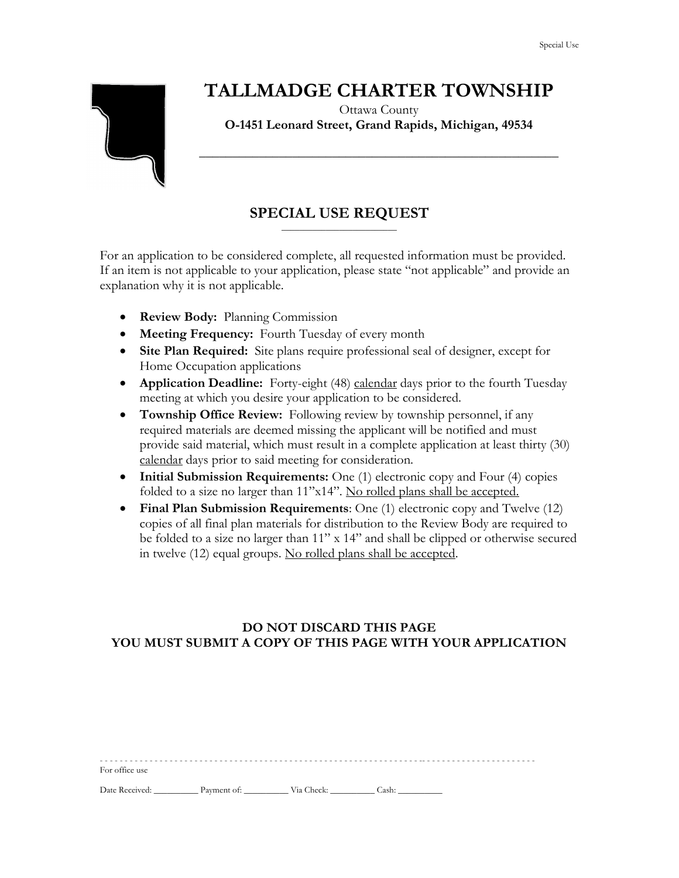# **TALLMADGE CHARTER TOWNSHIP**

Ottawa County **O-1451 Leonard Street, Grand Rapids, Michigan, 49534**

**\_\_\_\_\_\_\_\_\_\_\_\_\_\_\_\_\_\_\_\_\_\_\_\_\_\_\_\_\_\_\_\_\_\_\_\_\_\_\_\_\_\_\_\_\_\_\_\_\_\_\_\_\_\_**

### **SPECIAL USE REQUEST** \_\_\_\_\_\_\_\_\_\_\_\_\_\_\_\_\_\_\_\_\_\_\_\_\_\_

For an application to be considered complete, all requested information must be provided. If an item is not applicable to your application, please state "not applicable" and provide an explanation why it is not applicable.

- **Review Body:** Planning Commission
- **Meeting Frequency:** Fourth Tuesday of every month
- **Site Plan Required:** Site plans require professional seal of designer, except for Home Occupation applications
- **Application Deadline:** Forty-eight (48) calendar days prior to the fourth Tuesday meeting at which you desire your application to be considered.
- **Township Office Review:** Following review by township personnel, if any required materials are deemed missing the applicant will be notified and must provide said material, which must result in a complete application at least thirty (30) calendar days prior to said meeting for consideration.
- **Initial Submission Requirements:** One (1) electronic copy and Four (4) copies folded to a size no larger than 11"x14". No rolled plans shall be accepted.
- **Final Plan Submission Requirements**: One (1) electronic copy and Twelve (12) copies of all final plan materials for distribution to the Review Body are required to be folded to a size no larger than 11" x 14" and shall be clipped or otherwise secured in twelve (12) equal groups. No rolled plans shall be accepted.

### **DO NOT DISCARD THIS PAGE YOU MUST SUBMIT A COPY OF THIS PAGE WITH YOUR APPLICATION**

| For office use |             |            |       |
|----------------|-------------|------------|-------|
| Date Received: | Payment of: | Via Check: | Cash: |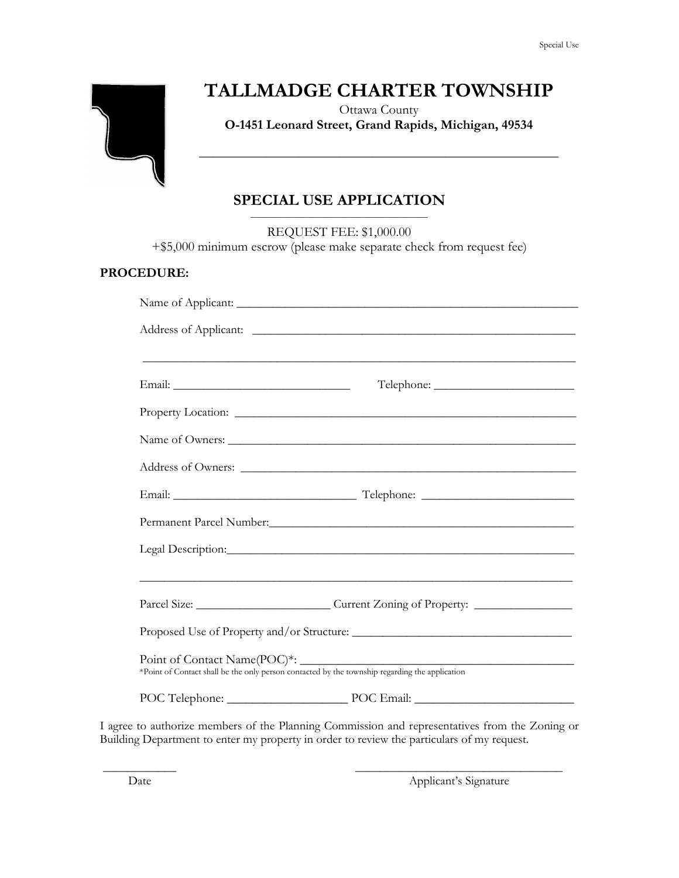

## **TALLMADGE CHARTER TOWNSHIP**

Ottawa County **O-1451 Leonard Street, Grand Rapids, Michigan, 49534**

**\_\_\_\_\_\_\_\_\_\_\_\_\_\_\_\_\_\_\_\_\_\_\_\_\_\_\_\_\_\_\_\_\_\_\_\_\_\_\_\_\_\_\_\_\_\_\_\_\_\_\_\_\_\_**

#### **SPECIAL USE APPLICATION** \_\_\_\_\_\_\_\_\_\_\_\_\_\_\_\_\_\_\_\_\_\_\_\_\_\_\_\_\_\_\_\_\_\_\_\_\_\_\_\_

REQUEST FEE: \$1,000.00

+\$5,000 minimum escrow (please make separate check from request fee)

### **PROCEDURE:**

| ,我们也不能在这里的人,我们也不能在这里的人,我们也不能在这里的人,我们也不能在这里的人,我们也不能在这里的人,我们也不能在这里的人,我们也不能在这里的人,我们也                                                                                                                                                    |  |
|--------------------------------------------------------------------------------------------------------------------------------------------------------------------------------------------------------------------------------------|--|
|                                                                                                                                                                                                                                      |  |
|                                                                                                                                                                                                                                      |  |
|                                                                                                                                                                                                                                      |  |
|                                                                                                                                                                                                                                      |  |
|                                                                                                                                                                                                                                      |  |
|                                                                                                                                                                                                                                      |  |
| Legal Description: <u>and the contract of the contract of the contract of the contract of the contract of the contract of the contract of the contract of the contract of the contract of the contract of the contract of the co</u> |  |
|                                                                                                                                                                                                                                      |  |
| Parcel Size: ________________________________Current Zoning of Property: ___________________________                                                                                                                                 |  |
|                                                                                                                                                                                                                                      |  |
| *Point of Contact shall be the only person contacted by the township regarding the application                                                                                                                                       |  |
| POC Telephone: POC Email: POC Email:                                                                                                                                                                                                 |  |

I agree to authorize members of the Planning Commission and representatives from the Zoning or Building Department to enter my property in order to review the particulars of my request.

 $\overline{\phantom{a}}$  , and the contract of the contract of the contract of the contract of the contract of the contract of the contract of the contract of the contract of the contract of the contract of the contract of the contrac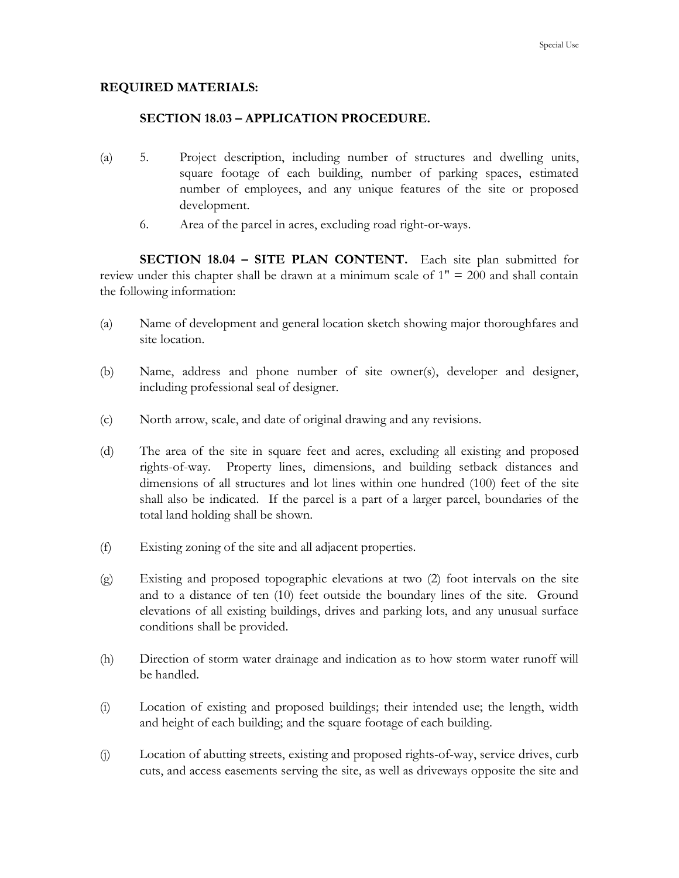### **REQUIRED MATERIALS:**

### **SECTION 18.03 – APPLICATION PROCEDURE.**

- (a) 5. Project description, including number of structures and dwelling units, square footage of each building, number of parking spaces, estimated number of employees, and any unique features of the site or proposed development.
	- 6. Area of the parcel in acres, excluding road right-or-ways.

**SECTION 18.04 – SITE PLAN CONTENT.** Each site plan submitted for review under this chapter shall be drawn at a minimum scale of 1" = 200 and shall contain the following information:

- (a) Name of development and general location sketch showing major thoroughfares and site location.
- (b) Name, address and phone number of site owner(s), developer and designer, including professional seal of designer.
- (c) North arrow, scale, and date of original drawing and any revisions.
- (d) The area of the site in square feet and acres, excluding all existing and proposed rights-of-way. Property lines, dimensions, and building setback distances and dimensions of all structures and lot lines within one hundred (100) feet of the site shall also be indicated. If the parcel is a part of a larger parcel, boundaries of the total land holding shall be shown.
- (f) Existing zoning of the site and all adjacent properties.
- (g) Existing and proposed topographic elevations at two (2) foot intervals on the site and to a distance of ten (10) feet outside the boundary lines of the site. Ground elevations of all existing buildings, drives and parking lots, and any unusual surface conditions shall be provided.
- (h) Direction of storm water drainage and indication as to how storm water runoff will be handled.
- (i) Location of existing and proposed buildings; their intended use; the length, width and height of each building; and the square footage of each building.
- (j) Location of abutting streets, existing and proposed rights-of-way, service drives, curb cuts, and access easements serving the site, as well as driveways opposite the site and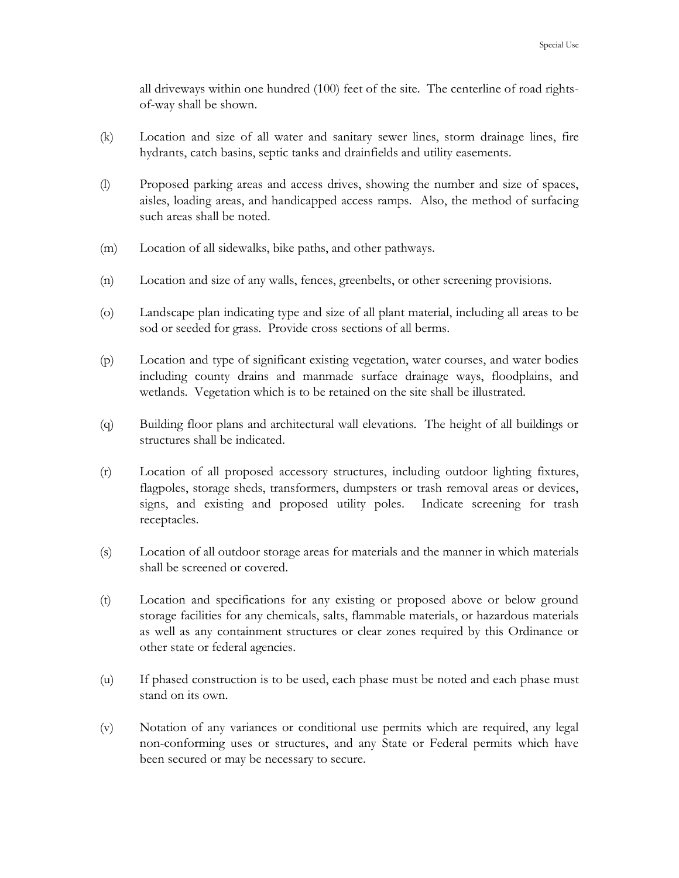all driveways within one hundred (100) feet of the site. The centerline of road rightsof-way shall be shown.

- (k) Location and size of all water and sanitary sewer lines, storm drainage lines, fire hydrants, catch basins, septic tanks and drainfields and utility easements.
- (l) Proposed parking areas and access drives, showing the number and size of spaces, aisles, loading areas, and handicapped access ramps. Also, the method of surfacing such areas shall be noted.
- (m) Location of all sidewalks, bike paths, and other pathways.
- (n) Location and size of any walls, fences, greenbelts, or other screening provisions.
- (o) Landscape plan indicating type and size of all plant material, including all areas to be sod or seeded for grass. Provide cross sections of all berms.
- (p) Location and type of significant existing vegetation, water courses, and water bodies including county drains and manmade surface drainage ways, floodplains, and wetlands. Vegetation which is to be retained on the site shall be illustrated.
- (q) Building floor plans and architectural wall elevations. The height of all buildings or structures shall be indicated.
- (r) Location of all proposed accessory structures, including outdoor lighting fixtures, flagpoles, storage sheds, transformers, dumpsters or trash removal areas or devices, signs, and existing and proposed utility poles. Indicate screening for trash receptacles.
- (s) Location of all outdoor storage areas for materials and the manner in which materials shall be screened or covered.
- (t) Location and specifications for any existing or proposed above or below ground storage facilities for any chemicals, salts, flammable materials, or hazardous materials as well as any containment structures or clear zones required by this Ordinance or other state or federal agencies.
- (u) If phased construction is to be used, each phase must be noted and each phase must stand on its own.
- (v) Notation of any variances or conditional use permits which are required, any legal non-conforming uses or structures, and any State or Federal permits which have been secured or may be necessary to secure.